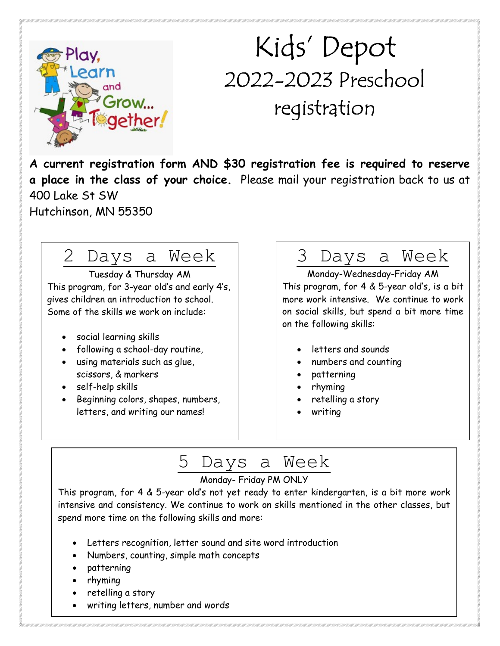

# Kids' Depot 2022-2023 Preschool registration

A current registration form AND \$30 registration fee is required to reserve a place in the class of your choice. Please mail your registration back to us at 400 Lake St SW Hutchinson, MN 55350

### 2 Days a Week

Tuesday & Thursday AM This program, for 3-year old's and early 4's, gives children an introduction to school. Some of the skills we work on include:

- social learning skills
- following a school-day routine,
- using materials such as glue, scissors, & markers
- self-help skills
- Beginning colors, shapes, numbers, letters, and writing our names!

### 3 Days a Week

Monday-Wednesday-Friday AM This program, for 4 & 5-year old's, is a bit more work intensive. We continue to work on social skills, but spend a bit more time on the following skills:

- letters and sounds
- numbers and counting
- patterning
- rhyming
- retelling a story
- writing

## 5 Days a Week

#### Monday- Friday PM ONLY

This program, for 4 & 5-year old's not yet ready to enter kindergarten, is a bit more work intensive and consistency. We continue to work on skills mentioned in the other classes, but spend more time on the following skills and more:

- Letters recognition, letter sound and site word introduction
- Numbers, counting, simple math concepts
- patterning
- rhyming
- retelling a story
- writing letters, number and words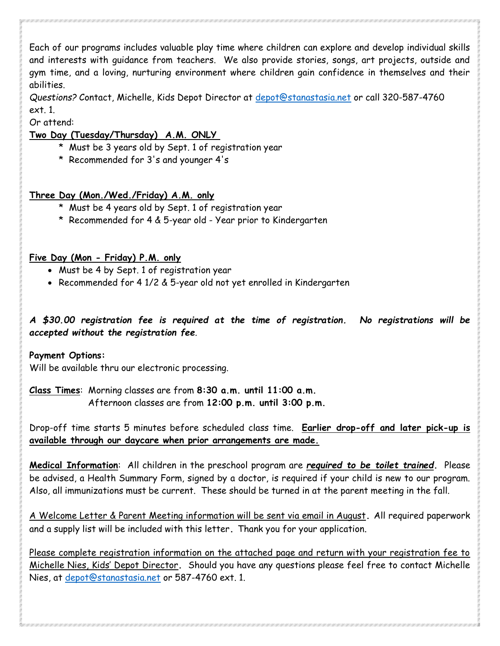Each of our programs includes valuable play time where children can explore and develop individual skills and interests with guidance from teachers. We also provide stories, songs, art projects, outside and gym time, and a loving, nurturing environment where children gain confidence in themselves and their abilities.

Questions? Contact, Michelle, Kids Depot Director at depot@stanastasia.net or call 320-587-4760 ext. 1.

Or attend:

#### Two Day (Tuesday/Thursday) A.M. ONLY

- \* Must be 3 years old by Sept. 1 of registration year
- \* Recommended for 3's and younger 4's

#### Three Day (Mon./Wed./Friday) A.M. only

- \* Must be 4 years old by Sept. 1 of registration year
- \* Recommended for 4 & 5-year old Year prior to Kindergarten

#### Five Day (Mon - Friday) P.M. only

- Must be 4 by Sept. 1 of registration year
- Recommended for 4 1/2 & 5-year old not yet enrolled in Kindergarten

#### A \$30.00 registration fee is required at the time of registration. No registrations will be accepted without the registration fee.

#### Payment Options:

Will be available thru our electronic processing.

Class Times: Morning classes are from 8:30 a.m. until 11:00 a.m. Afternoon classes are from 12:00 p.m. until 3:00 p.m.

Drop-off time starts 5 minutes before scheduled class time. Earlier drop-off and later pick-up is available through our daycare when prior arrangements are made.

Medical Information: All children in the preschool program are required to be toilet trained. Please be advised, a Health Summary Form, signed by a doctor, is required if your child is new to our program. Also, all immunizations must be current. These should be turned in at the parent meeting in the fall.

A Welcome Letter & Parent Meeting information will be sent via email in August. All required paperwork and a supply list will be included with this letter. Thank you for your application.

Please complete registration information on the attached page and return with your registration fee to Michelle Nies, Kids' Depot Director. Should you have any questions please feel free to contact Michelle Nies, at depot@stanastasia.net or 587-4760 ext. 1.